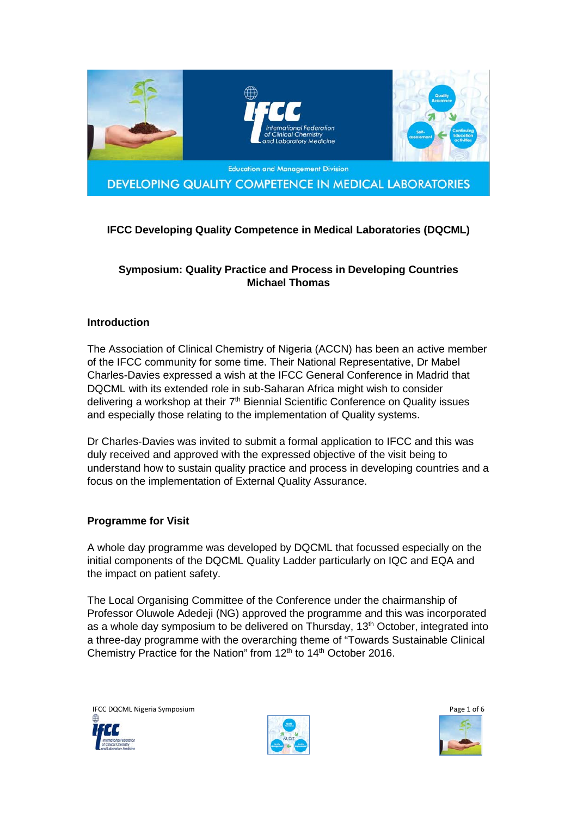

DEVELOPING QUALITY COMPETENCE IN MEDICAL LABORATORIES

# **IFCC Developing Quality Competence in Medical Laboratories (DQCML)**

## **Symposium: Quality Practice and Process in Developing Countries Michael Thomas**

### **Introduction**

The Association of Clinical Chemistry of Nigeria (ACCN) has been an active member of the IFCC community for some time. Their National Representative, Dr Mabel Charles-Davies expressed a wish at the IFCC General Conference in Madrid that DQCML with its extended role in sub-Saharan Africa might wish to consider delivering a workshop at their 7<sup>th</sup> Biennial Scientific Conference on Quality issues and especially those relating to the implementation of Quality systems.

Dr Charles-Davies was invited to submit a formal application to IFCC and this was duly received and approved with the expressed objective of the visit being to understand how to sustain quality practice and process in developing countries and a focus on the implementation of External Quality Assurance.

#### **Programme for Visit**

A whole day programme was developed by DQCML that focussed especially on the initial components of the DQCML Quality Ladder particularly on IQC and EQA and the impact on patient safety.

The Local Organising Committee of the Conference under the chairmanship of Professor Oluwole Adedeji (NG) approved the programme and this was incorporated as a whole day symposium to be delivered on Thursday, 13<sup>th</sup> October, integrated into a three-day programme with the overarching theme of "Towards Sustainable Clinical Chemistry Practice for the Nation" from 12<sup>th</sup> to 14<sup>th</sup> October 2016.

IFCC DQCML Nigeria Symposium Page 1 of 6



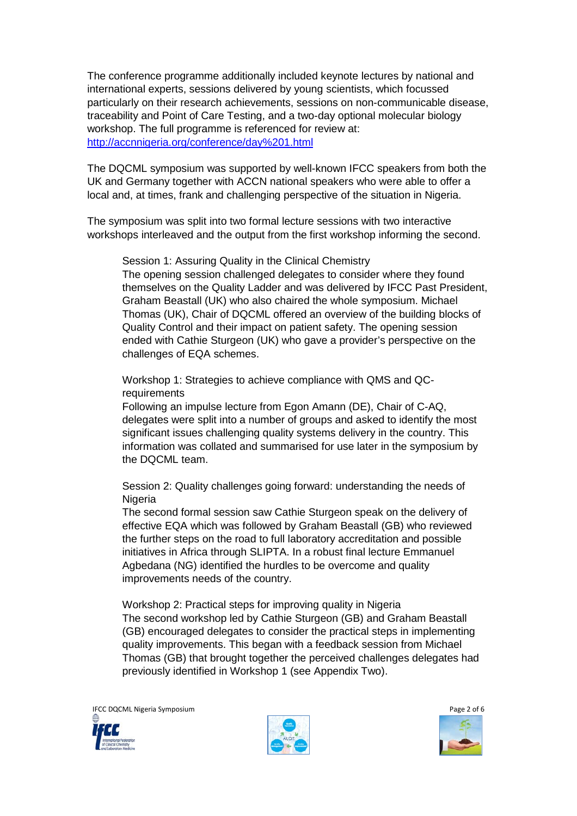The conference programme additionally included keynote lectures by national and international experts, sessions delivered by young scientists, which focussed particularly on their research achievements, sessions on non-communicable disease, traceability and Point of Care Testing, and a two-day optional molecular biology workshop. The full programme is referenced for review at: <http://accnnigeria.org/conference/day%201.html>

The DQCML symposium was supported by well-known IFCC speakers from both the UK and Germany together with ACCN national speakers who were able to offer a local and, at times, frank and challenging perspective of the situation in Nigeria.

The symposium was split into two formal lecture sessions with two interactive workshops interleaved and the output from the first workshop informing the second.

Session 1: Assuring Quality in the Clinical Chemistry The opening session challenged delegates to consider where they found themselves on the Quality Ladder and was delivered by IFCC Past President, Graham Beastall (UK) who also chaired the whole symposium. Michael Thomas (UK), Chair of DQCML offered an overview of the building blocks of Quality Control and their impact on patient safety. The opening session ended with Cathie Sturgeon (UK) who gave a provider's perspective on the challenges of EQA schemes.

Workshop 1: Strategies to achieve compliance with QMS and QCrequirements

Following an impulse lecture from Egon Amann (DE), Chair of C-AQ, delegates were split into a number of groups and asked to identify the most significant issues challenging quality systems delivery in the country. This information was collated and summarised for use later in the symposium by the DQCML team.

Session 2: Quality challenges going forward: understanding the needs of Nigeria

The second formal session saw Cathie Sturgeon speak on the delivery of effective EQA which was followed by Graham Beastall (GB) who reviewed the further steps on the road to full laboratory accreditation and possible initiatives in Africa through SLIPTA. In a robust final lecture Emmanuel Agbedana (NG) identified the hurdles to be overcome and quality improvements needs of the country.

Workshop 2: Practical steps for improving quality in Nigeria The second workshop led by Cathie Sturgeon (GB) and Graham Beastall (GB) encouraged delegates to consider the practical steps in implementing quality improvements. This began with a feedback session from Michael Thomas (GB) that brought together the perceived challenges delegates had previously identified in Workshop 1 (see Appendix Two).

IFCC DQCML Nigeria Symposium Page 2 of 6







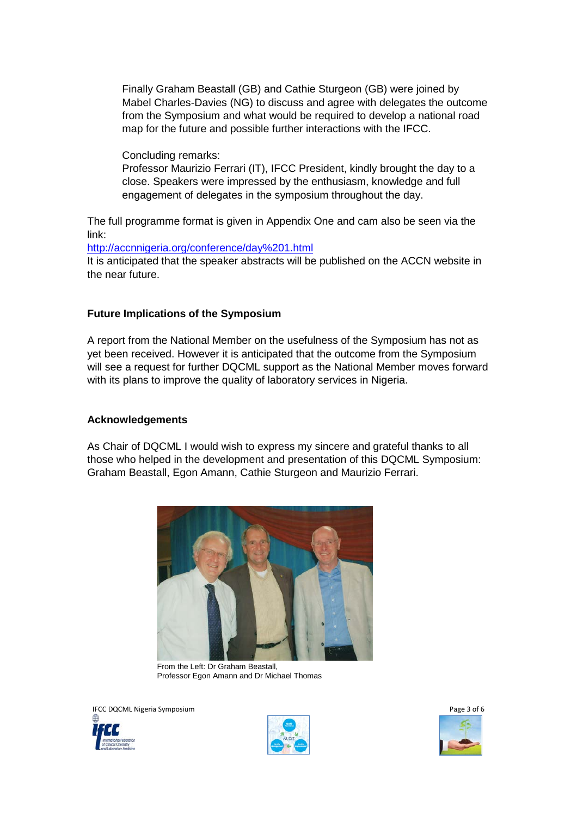Finally Graham Beastall (GB) and Cathie Sturgeon (GB) were joined by Mabel Charles-Davies (NG) to discuss and agree with delegates the outcome from the Symposium and what would be required to develop a national road map for the future and possible further interactions with the IFCC.

Concluding remarks:

Professor Maurizio Ferrari (IT), IFCC President, kindly brought the day to a close. Speakers were impressed by the enthusiasm, knowledge and full engagement of delegates in the symposium throughout the day.

The full programme format is given in Appendix One and cam also be seen via the link:

<http://accnnigeria.org/conference/day%201.html>

It is anticipated that the speaker abstracts will be published on the ACCN website in the near future.

### **Future Implications of the Symposium**

A report from the National Member on the usefulness of the Symposium has not as yet been received. However it is anticipated that the outcome from the Symposium will see a request for further DQCML support as the National Member moves forward with its plans to improve the quality of laboratory services in Nigeria.

#### **Acknowledgements**

As Chair of DQCML I would wish to express my sincere and grateful thanks to all those who helped in the development and presentation of this DQCML Symposium: Graham Beastall, Egon Amann, Cathie Sturgeon and Maurizio Ferrari.



From the Left: Dr Graham Beastall, Professor Egon Amann and Dr Michael Thomas

IFCC DQCML Nigeria Symposium Page 3 of 6



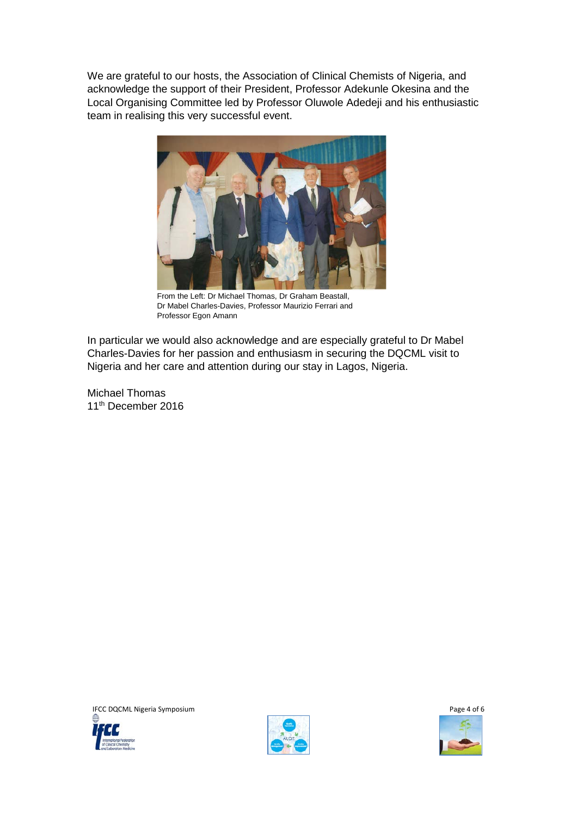We are grateful to our hosts, the Association of Clinical Chemists of Nigeria, and acknowledge the support of their President, Professor Adekunle Okesina and the Local Organising Committee led by Professor Oluwole Adedeji and his enthusiastic team in realising this very successful event.



From the Left: Dr Michael Thomas, Dr Graham Beastall, Dr Mabel Charles-Davies, Professor Maurizio Ferrari and Professor Egon Amann

In particular we would also acknowledge and are especially grateful to Dr Mabel Charles-Davies for her passion and enthusiasm in securing the DQCML visit to Nigeria and her care and attention during our stay in Lagos, Nigeria.

Michael Thomas 11<sup>th</sup> December 2016





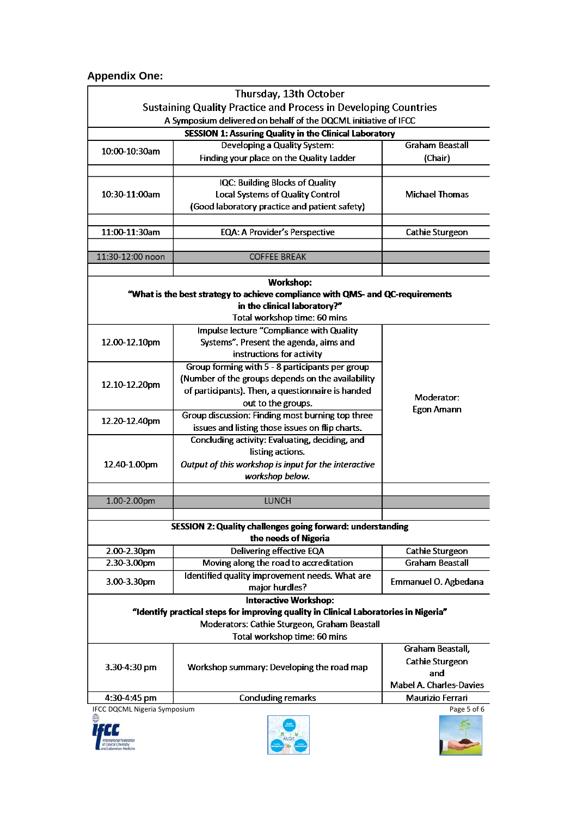# **Appendix One:**

| Thursday, 13th October                                                                             |                                                      |                                 |
|----------------------------------------------------------------------------------------------------|------------------------------------------------------|---------------------------------|
| <b>Sustaining Quality Practice and Process in Developing Countries</b>                             |                                                      |                                 |
| A Symposium delivered on behalf of the DQCML initiative of IFCC                                    |                                                      |                                 |
| <b>SESSION 1: Assuring Quality in the Clinical Laboratory</b>                                      |                                                      |                                 |
| 10:00-10:30am                                                                                      | Developing a Quality System:                         | <b>Graham Beastall</b>          |
|                                                                                                    | Finding your place on the Quality Ladder             | (Chair)                         |
|                                                                                                    |                                                      |                                 |
| 10:30-11:00am                                                                                      | IQC: Building Blocks of Quality                      | <b>Michael Thomas</b>           |
|                                                                                                    | Local Systems of Quality Control                     |                                 |
|                                                                                                    | (Good laboratory practice and patient safety)        |                                 |
|                                                                                                    |                                                      |                                 |
| 11:00-11:30am                                                                                      | <b>EQA: A Provider's Perspective</b>                 | Cathie Sturgeon                 |
|                                                                                                    |                                                      |                                 |
| 11:30-12:00 noon                                                                                   | <b>COFFEE BREAK</b>                                  |                                 |
|                                                                                                    |                                                      |                                 |
| <b>Workshop:</b><br>"What is the best strategy to achieve compliance with QMS- and QC-requirements |                                                      |                                 |
| in the clinical laboratory?"                                                                       |                                                      |                                 |
| Total workshop time: 60 mins                                                                       |                                                      |                                 |
| 12.00-12.10pm                                                                                      | Impulse lecture "Compliance with Quality             | Moderator:<br><b>Egon Amann</b> |
|                                                                                                    | Systems". Present the agenda, aims and               |                                 |
|                                                                                                    | instructions for activity                            |                                 |
| 12.10-12.20pm                                                                                      | Group forming with 5 - 8 participants per group      |                                 |
|                                                                                                    | (Number of the groups depends on the availability    |                                 |
|                                                                                                    | of participants). Then, a questionnaire is handed    |                                 |
|                                                                                                    | out to the groups.                                   |                                 |
| 12.20-12.40pm                                                                                      | Group discussion: Finding most burning top three     |                                 |
|                                                                                                    | issues and listing those issues on flip charts.      |                                 |
| 12.40-1.00pm                                                                                       | Concluding activity: Evaluating, deciding, and       |                                 |
|                                                                                                    | listing actions.                                     |                                 |
|                                                                                                    | Output of this workshop is input for the interactive |                                 |
|                                                                                                    | workshop below.                                      |                                 |
|                                                                                                    |                                                      |                                 |
| 1.00-2.00pm                                                                                        | <b>LUNCH</b>                                         |                                 |
|                                                                                                    |                                                      |                                 |
| SESSION 2: Quality challenges going forward: understanding<br>the needs of Nigeria                 |                                                      |                                 |
| 2.00-2.30pm                                                                                        | Delivering effective EQA                             | <b>Cathie Sturgeon</b>          |
| $2.30 - 3.00$ pm                                                                                   | Moving along the road to accreditation               | <b>Graham Beastall</b>          |
| $3.00 - 3.30$ pm                                                                                   | Identified quality improvement needs. What are       | Emmanuel O. Agbedana            |
|                                                                                                    | major hurdles?                                       |                                 |
| <b>Interactive Workshop:</b>                                                                       |                                                      |                                 |
| "Identify practical steps for improving quality in Clinical Laboratories in Nigeria"               |                                                      |                                 |
| Moderators: Cathie Sturgeon, Graham Beastall                                                       |                                                      |                                 |
| Total workshop time: 60 mins                                                                       |                                                      |                                 |
| $3.30 - 4:30$ pm                                                                                   | Workshop summary: Developing the road map            | Graham Beastall,                |
|                                                                                                    |                                                      | <b>Cathie Sturgeon</b>          |
|                                                                                                    |                                                      | and                             |
|                                                                                                    |                                                      | <b>Mabel A. Charles-Davies</b>  |
| 4:30-4:45 pm                                                                                       | <b>Concluding remarks</b>                            | Maurizio Ferrari                |
| IFCC DQCML Nigeria Symposium                                                                       |                                                      | Page 5 of 6                     |
|                                                                                                    |                                                      |                                 |